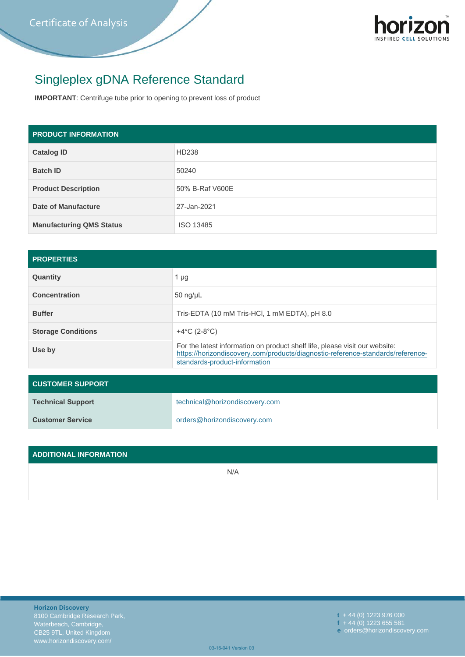

## Singleplex gDNA Reference Standard

**IMPORTANT**: Centrifuge tube prior to opening to prevent loss of product

| <b>PRODUCT INFORMATION</b>      |                 |  |  |  |
|---------------------------------|-----------------|--|--|--|
| <b>Catalog ID</b>               | HD238           |  |  |  |
| <b>Batch ID</b>                 | 50240           |  |  |  |
| <b>Product Description</b>      | 50% B-Raf V600E |  |  |  |
| Date of Manufacture             | 27-Jan-2021     |  |  |  |
| <b>Manufacturing QMS Status</b> | ISO 13485       |  |  |  |

| <b>PROPERTIES</b>         |                                                                                                                                                                                                 |  |  |  |  |
|---------------------------|-------------------------------------------------------------------------------------------------------------------------------------------------------------------------------------------------|--|--|--|--|
| Quantity                  | 1 $\mu$ g                                                                                                                                                                                       |  |  |  |  |
| <b>Concentration</b>      | $50$ ng/ $\mu$ L                                                                                                                                                                                |  |  |  |  |
| <b>Buffer</b>             | Tris-EDTA (10 mM Tris-HCI, 1 mM EDTA), pH 8.0                                                                                                                                                   |  |  |  |  |
| <b>Storage Conditions</b> | +4 $^{\circ}$ C (2-8 $^{\circ}$ C)                                                                                                                                                              |  |  |  |  |
| Use by                    | For the latest information on product shelf life, please visit our website:<br>https://horizondiscovery.com/products/diagnostic-reference-standards/reference-<br>standards-product-information |  |  |  |  |

| <b>CUSTOMER SUPPORT</b>  |                                |  |  |  |  |
|--------------------------|--------------------------------|--|--|--|--|
| <b>Technical Support</b> | technical@horizondiscovery.com |  |  |  |  |
| <b>Customer Service</b>  | orders@horizondiscovery.com    |  |  |  |  |

| ADDITIONAL INFORMATION |     |
|------------------------|-----|
|                        | N/A |